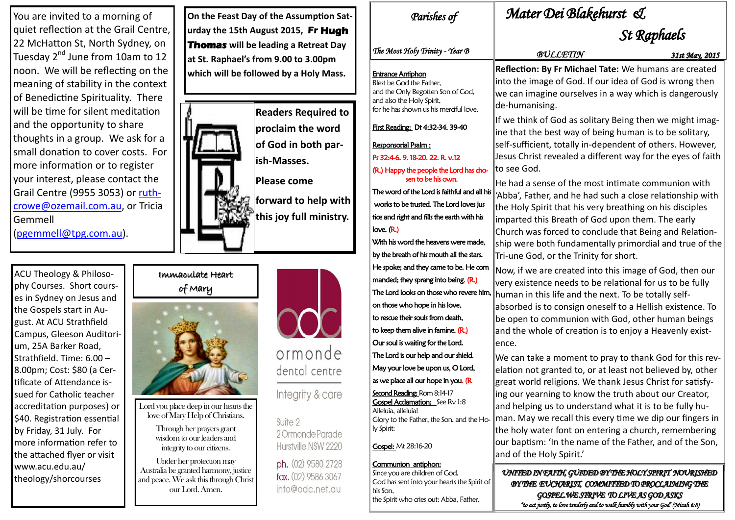## Immaculate Heart of Mary



Lord you place deep in our hearts the love of Mary Help of Christians.

> Through her prayers grant wisdom to our leaders and integrity to our citizens.

Under her protection may Australia be granted harmony, justice and peace. We ask this through Christ our Lord. Amen.



# dental centre

Integrity & care

Suite 2 2 Ormonde Parade Hurstville NSW 2220

ph. (02) 9580 2728 fax. (02) 9586 3067 info@odc.net.au

ACU Theology & Philosophy Courses. Short courses in Sydney on Jesus and the Gospels start in August. At ACU Strathfield Campus, Gleeson Auditorium, 25A Barker Road, Strathfield. Time: 6.00 – 8.00pm; Cost: \$80 (a Certificate of Attendance issued for Catholic teacher accreditation purposes) or \$40. Registration essential by Friday, 31 July. For more information refer to the attached flyer or visit www.acu.edu.au/ theology/shorcourses

You are invited to a morning of quiet reflection at the Grail Centre, 22 McHatton St, North Sydney, on Tuesday 2<sup>nd</sup> June from 10am to 12 noon. We will be reflecting on the meaning of stability in the context of Benedictine Spirituality. There will be time for silent meditation and the opportunity to share thoughts in a group. We ask for a small donation to cover costs. For more information or to register your interest, please contact the Grail Centre (9955 3053) or [ruth](mailto:ruthcrowe@ozemail.com.au)[crowe@ozemail.com.au,](mailto:ruthcrowe@ozemail.com.au) or Tricia Gemmell

([pgemmell@tpg.com.au\).](mailto:pgemmell@tpg.com.au)

**On the Feast Day of the Assumption Saturday the 15th August 2015, Fr Hugh Thomas will be leading a Retreat Day at St. Raphael's from 9.00 to 3.00pm which will be followed by a Holy Mass.**



**Readers Required to proclaim the word of God in both parish-Masses. Please come forward to help with this joy full ministry.**

## *Parishes of Mater Dei Blakehurst &*

## *St Raphaels*

*UNITED IN FAITH, GUIDED BY THE HOLY SPIRIT NOURISHED BY THE EUCHARIST, COMMITTED TO PROCLAIMING THE GOSPEL.WE STRIVE TO LIVE AS GOD ASKS "to act justly, to love tenderly and to walk humbly with your God' (Micah 6:8)* 

| Parishes of                                                                                                                                                      | Mater                                                              |  |
|------------------------------------------------------------------------------------------------------------------------------------------------------------------|--------------------------------------------------------------------|--|
| The Most Holy Trinity - Year B                                                                                                                                   | $\boldsymbol{\mathcal{B}}^{\boldsymbol{\cdot}}$                    |  |
| <u>Entrance Antiphon</u><br>Blest be God the Father,<br>and the Only Begotten Son of God,<br>and also the Holy Spirit,<br>for he has shown us his merciful love. | <b>Reflection: E</b><br>into the ima<br>we can imag<br>de-humanisi |  |
| First Reading: Dt 4:32-34. 39-40                                                                                                                                 | If we think o<br>ine that the                                      |  |
| Responsorial Psalm :<br>Ps 32:4-6. 9. 18-20. 22. R. v.12                                                                                                         | self-sufficier<br>Jesus Christ                                     |  |
| (R.) Happy the people the Lord has cho-<br>sen to be his own.                                                                                                    | to see God.<br>He had a ser                                        |  |
| The word of the Lord is faithful and all his<br>works to be trusted. The Lord loves jus<br>tice and right and fills the earth with his                           | 'Abba', Fathe<br>the Holy Spi                                      |  |
| love. $(R)$<br>With his word the heavens were made,                                                                                                              | imparted thi<br>Church was<br>ship were bo                         |  |
| by the breath of his mouth all the stars.<br>He spoke; and they came to be. He com                                                                               | Tri-une God,<br>Now, if we a                                       |  |
| manded; they sprang into being. $(R)$<br>The Lord looks on those who revere him,                                                                                 | very existen<br>human in th                                        |  |
| on those who hope in his love,<br>to rescue their souls from death,                                                                                              | absorbed is <sup>-</sup><br>be open to c                           |  |
| to keep them alive in famine. (R.)<br>Our soul is waiting for the Lord.                                                                                          | and the whc<br>ence.                                               |  |
| The Lord is our help and our shield.<br>May your love be upon us, O Lord,                                                                                        | We can take<br>elation not g                                       |  |
| as we place all our hope in you. (R<br><b>Second Reading: Rom 8:14-17</b>                                                                                        | great world<br>ing our year                                        |  |
| <b>Gospel Acclamation:</b> See Rv 1:8<br>Alleluia, alleluia!<br>Glory to the Father, the Son, and the Ho-<br>ly Spirit:                                          | and helping<br>man. May w<br>the holy wat                          |  |
| <b>Gospel: Mt 28:16-20</b>                                                                                                                                       | our baptism<br>and of the H                                        |  |
| Communion antiphon:<br>Since you are children of God,<br>God has sent into your hearts the Spirit of                                                             | UNITED IN !<br>RYTHE F                                             |  |

*BULLETIN 31st May, 2015*

**By Fr Michael Tate:** We humans are created ige of God. If our idea of God is wrong then gine ourselves in a way which is dangerously ing.

of God as solitary Being then we might imagbest way of being human is to be solitary, nt, totally in-dependent of others. However, revealed a different way for the eyes of faith

nse of the most intimate communion with er, and he had such a close relationship with irit that his very breathing on his disciples iis Breath of God upon them. The early forced to conclude that Being and Relationoth fundamentally primordial and true of the or the Trinity for short.

Ire created into this image of God, then our ce needs to be relational for us to be fully is life and the next. To be totally selfto consign oneself to a Hellish existence. To communion with God, other human beings ole of creation is to enjoy a Heavenly exist-

a moment to pray to thank God for this revgranted to, or at least not believed by, other religions. We thank Jesus Christ for satisfyming to know the truth about our Creator, us to understand what it is to be fully huve recall this every time we dip our fingers in ter font on entering a church, remembering 1: 'In the name of the Father, and of the Son, Holy Spirit.'

his Son,

the Spirit who cries out: Abba, Father.